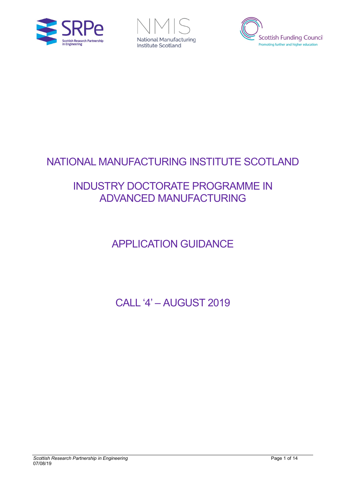





# NATIONAL MANUFACTURING INSTITUTE SCOTLAND

## INDUSTRY DOCTORATE PROGRAMME IN ADVANCED MANUFACTURING

# APPLICATION GUIDANCE

CALL '4' – AUGUST 2019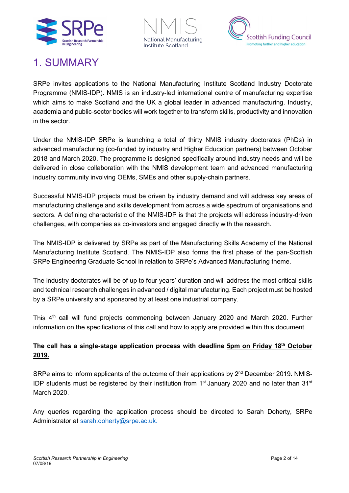





### 1. SUMMARY

SRPe invites applications to the National Manufacturing Institute Scotland Industry Doctorate Programme (NMIS-IDP). NMIS is an industry-led international centre of manufacturing expertise which aims to make Scotland and the UK a global leader in advanced manufacturing. Industry, academia and public-sector bodies will work together to transform skills, productivity and innovation in the sector.

Under the NMIS-IDP SRPe is launching a total of thirty NMIS industry doctorates (PhDs) in advanced manufacturing (co-funded by industry and Higher Education partners) between October 2018 and March 2020. The programme is designed specifically around industry needs and will be delivered in close collaboration with the NMIS development team and advanced manufacturing industry community involving OEMs, SMEs and other supply-chain partners.

Successful NMIS-IDP projects must be driven by industry demand and will address key areas of manufacturing challenge and skills development from across a wide spectrum of organisations and sectors. A defining characteristic of the NMIS-IDP is that the projects will address industry-driven challenges, with companies as co-investors and engaged directly with the research.

The NMIS-IDP is delivered by SRPe as part of the Manufacturing Skills Academy of the National Manufacturing Institute Scotland. The NMIS-IDP also forms the first phase of the pan-Scottish SRPe Engineering Graduate School in relation to SRPe's Advanced Manufacturing theme.

The industry doctorates will be of up to four years' duration and will address the most critical skills and technical research challenges in advanced / digital manufacturing. Each project must be hosted by a SRPe university and sponsored by at least one industrial company.

This 4<sup>th</sup> call will fund projects commencing between January 2020 and March 2020. Further information on the specifications of this call and how to apply are provided within this document.

#### **The call has a single-stage application process with deadline 5pm on Friday 18th October 2019.**

SRPe aims to inform applicants of the outcome of their applications by 2<sup>nd</sup> December 2019. NMIS-IDP students must be registered by their institution from  $1<sup>st</sup>$  January 2020 and no later than  $31<sup>st</sup>$ March 2020.

Any queries regarding the application process should be directed to Sarah Doherty, SRPe Administrator at [sarah.doherty@srpe.ac.uk.](file://ds.strath.ac.uk/idrive/Admin/TIC/SRPE/1.THEME%20-%20ADVANCED%20MANUFACTURING/NMIS/NMIS-IDP_CPD/KEY%20NMIS-IDP%20DOCUMENTS/IDP%20COHORT%203/IDP%20COHORT%203_APPLICATION%20PACK/sarah.doherty@srpe.ac.uk)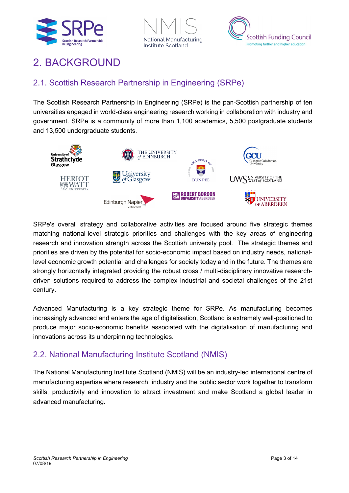





## 2. BACKGROUND

### 2.1. Scottish Research Partnership in Engineering (SRPe)

The Scottish Research Partnership in Engineering (SRPe) is the pan-Scottish partnership of ten universities engaged in world-class engineering research working in collaboration with industry and government. SRPe is a community of more than 1,100 academics, 5,500 postgraduate students and 13,500 undergraduate students.



SRPe's overall strategy and collaborative activities are focused around five strategic themes matching national-level strategic priorities and challenges with the key areas of engineering research and innovation strength across the Scottish university pool. The strategic themes and priorities are driven by the potential for socio-economic impact based on industry needs, nationallevel economic growth potential and challenges for society today and in the future. The themes are strongly horizontally integrated providing the robust cross / multi-disciplinary innovative researchdriven solutions required to address the complex industrial and societal challenges of the 21st century.

Advanced Manufacturing is a key strategic theme for SRPe. As manufacturing becomes increasingly advanced and enters the age of digitalisation, Scotland is extremely well-positioned to produce major socio-economic benefits associated with the digitalisation of manufacturing and innovations across its underpinning technologies.

### 2.2. National Manufacturing Institute Scotland (NMIS)

The National Manufacturing Institute Scotland (NMIS) will be an industry-led international centre of manufacturing expertise where research, industry and the public sector work together to transform skills, productivity and innovation to attract investment and make Scotland a global leader in advanced manufacturing.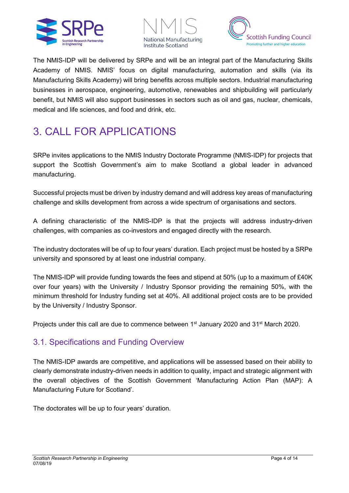





The NMIS-IDP will be delivered by SRPe and will be an integral part of the Manufacturing Skills Academy of NMIS. NMIS' focus on digital manufacturing, automation and skills (via its Manufacturing Skills Academy) will bring benefits across multiple sectors. Industrial manufacturing businesses in aerospace, engineering, automotive, renewables and shipbuilding will particularly benefit, but NMIS will also support businesses in sectors such as oil and gas, nuclear, chemicals, medical and life sciences, and food and drink, etc.

# 3. CALL FOR APPLICATIONS

SRPe invites applications to the NMIS Industry Doctorate Programme (NMIS-IDP) for projects that support the Scottish Government's aim to make Scotland a global leader in advanced manufacturing.

Successful projects must be driven by industry demand and will address key areas of manufacturing challenge and skills development from across a wide spectrum of organisations and sectors.

A defining characteristic of the NMIS-IDP is that the projects will address industry-driven challenges, with companies as co-investors and engaged directly with the research.

The industry doctorates will be of up to four years' duration. Each project must be hosted by a SRPe university and sponsored by at least one industrial company.

The NMIS-IDP will provide funding towards the fees and stipend at 50% (up to a maximum of £40K over four years) with the University / Industry Sponsor providing the remaining 50%, with the minimum threshold for Industry funding set at 40%. All additional project costs are to be provided by the University / Industry Sponsor.

Projects under this call are due to commence between 1<sup>st</sup> January 2020 and 31<sup>st</sup> March 2020.

### 3.1. Specifications and Funding Overview

The NMIS-IDP awards are competitive, and applications will be assessed based on their ability to clearly demonstrate industry-driven needs in addition to quality, impact and strategic alignment with the overall objectives of the Scottish Government 'Manufacturing Action Plan (MAP): A Manufacturing Future for Scotland'.

The doctorates will be up to four years' duration.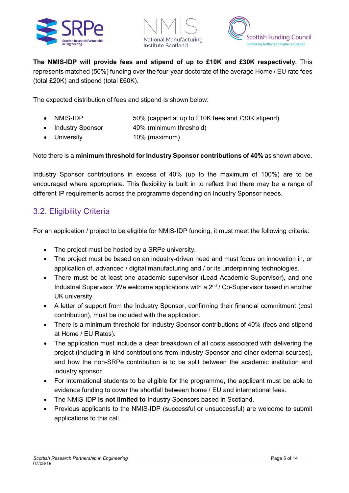





**The NMIS-IDP will provide fees and stipend of up to £10K and £30K respectively.** This represents matched (50%) funding over the four-year doctorate of the average Home / EU rate fees (total £20K) and stipend (total £60K).

The expected distribution of fees and stipend is shown below:

- NMIS-IDP 50% (capped at up to £10K fees and £30K stipend)
- Industry Sponsor 40% (minimum threshold)
- University 10% (maximum)

#### Note there is a **minimum threshold for Industry Sponsor contributions of 40%** as shown above.

Industry Sponsor contributions in excess of 40% (up to the maximum of 100%) are to be encouraged where appropriate. This flexibility is built in to reflect that there may be a range of different IP requirements across the programme depending on Industry Sponsor needs.

### 3.2. Eligibility Criteria

For an application / project to be eligible for NMIS-IDP funding, it must meet the following criteria:

- The project must be hosted by a SRPe university.
- The project must be based on an industry-driven need and must focus on innovation in, or application of, advanced / digital manufacturing and / or its underpinning technologies.
- There must be at least one academic supervisor (Lead Academic Supervisor), and one Industrial Supervisor. We welcome applications with a  $2<sup>nd</sup>$  / Co-Supervisor based in another UK university.
- A letter of support from the Industry Sponsor, confirming their financial commitment (cost contribution), must be included with the application.
- There is a minimum threshold for Industry Sponsor contributions of 40% (fees and stipend at Home / EU Rates).
- The application must include a clear breakdown of all costs associated with delivering the project (including in-kind contributions from Industry Sponsor and other external sources), and how the non-SRPe contribution is to be split between the academic institution and industry sponsor.
- For international students to be eligible for the programme, the applicant must be able to evidence funding to cover the shortfall between home / EU and international fees.
- The NMIS-IDP **is not limited to** Industry Sponsors based in Scotland.
- Previous applicants to the NMIS-IDP (successful or unsuccessful) are welcome to submit applications to this call.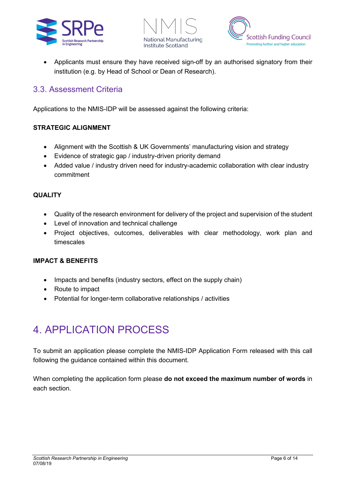





• Applicants must ensure they have received sign-off by an authorised signatory from their institution (e.g. by Head of School or Dean of Research).

### 3.3. Assessment Criteria

Applications to the NMIS-IDP will be assessed against the following criteria:

#### **STRATEGIC ALIGNMENT**

- Alignment with the Scottish & UK Governments' manufacturing vision and strategy
- Evidence of strategic gap / industry-driven priority demand
- Added value / industry driven need for industry-academic collaboration with clear industry commitment

#### **QUALITY**

- Quality of the research environment for delivery of the project and supervision of the student
- Level of innovation and technical challenge
- Project objectives, outcomes, deliverables with clear methodology, work plan and timescales

#### **IMPACT & BENEFITS**

- Impacts and benefits (industry sectors, effect on the supply chain)
- Route to impact
- Potential for longer-term collaborative relationships / activities

## 4. APPLICATION PROCESS

To submit an application please complete the NMIS-IDP Application Form released with this call following the guidance contained within this document.

When completing the application form please **do not exceed the maximum number of words** in each section.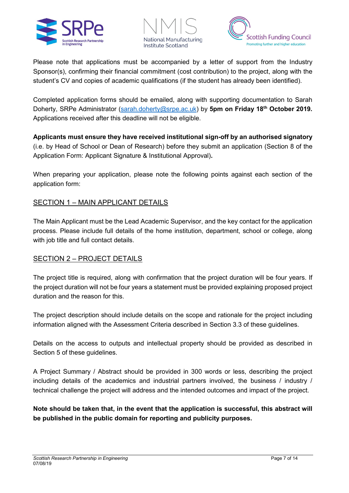





Please note that applications must be accompanied by a letter of support from the Industry Sponsor(s), confirming their financial commitment (cost contribution) to the project, along with the student's CV and copies of academic qualifications (if the student has already been identified).

Completed application forms should be emailed, along with supporting documentation to Sarah Doherty, SRPe Administrator [\(sarah.doherty@srpe.ac.uk\)](mailto:sarah.doherty@srpe.ac.uk) by **5pm on Friday 18th October 2019.** Applications received after this deadline will not be eligible.

**Applicants must ensure they have received institutional sign-off by an authorised signatory** (i.e. by Head of School or Dean of Research) before they submit an application (Section 8 of the Application Form: Applicant Signature & Institutional Approval)**.**

When preparing your application, please note the following points against each section of the application form:

#### SECTION 1 – MAIN APPLICANT DETAILS

The Main Applicant must be the Lead Academic Supervisor, and the key contact for the application process. Please include full details of the home institution, department, school or college, along with job title and full contact details.

#### SECTION 2 – PROJECT DETAILS

The project title is required, along with confirmation that the project duration will be four years. If the project duration will not be four years a statement must be provided explaining proposed project duration and the reason for this.

The project description should include details on the scope and rationale for the project including information aligned with the Assessment Criteria described in Section 3.3 of these guidelines.

Details on the access to outputs and intellectual property should be provided as described in Section 5 of these guidelines.

A Project Summary / Abstract should be provided in 300 words or less, describing the project including details of the academics and industrial partners involved, the business / industry / technical challenge the project will address and the intended outcomes and impact of the project.

**Note should be taken that, in the event that the application is successful, this abstract will be published in the public domain for reporting and publicity purposes.**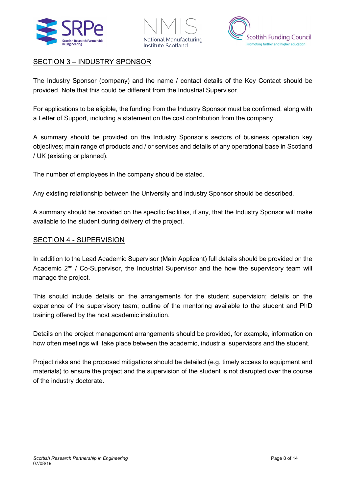





#### SECTION 3 – INDUSTRY SPONSOR

The Industry Sponsor (company) and the name / contact details of the Key Contact should be provided. Note that this could be different from the Industrial Supervisor.

For applications to be eligible, the funding from the Industry Sponsor must be confirmed, along with a Letter of Support, including a statement on the cost contribution from the company.

A summary should be provided on the Industry Sponsor's sectors of business operation key objectives; main range of products and / or services and details of any operational base in Scotland / UK (existing or planned).

The number of employees in the company should be stated.

Any existing relationship between the University and Industry Sponsor should be described.

A summary should be provided on the specific facilities, if any, that the Industry Sponsor will make available to the student during delivery of the project.

#### SECTION 4 - SUPERVISION

In addition to the Lead Academic Supervisor (Main Applicant) full details should be provided on the Academic  $2<sup>nd</sup>$  / Co-Supervisor, the Industrial Supervisor and the how the supervisory team will manage the project.

This should include details on the arrangements for the student supervision; details on the experience of the supervisory team; outline of the mentoring available to the student and PhD training offered by the host academic institution.

Details on the project management arrangements should be provided, for example, information on how often meetings will take place between the academic, industrial supervisors and the student.

Project risks and the proposed mitigations should be detailed (e.g. timely access to equipment and materials) to ensure the project and the supervision of the student is not disrupted over the course of the industry doctorate.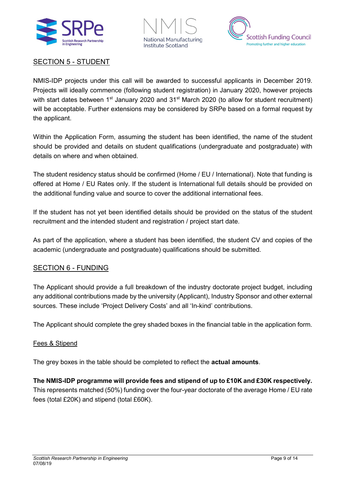





#### SECTION 5 - STUDENT

NMIS-IDP projects under this call will be awarded to successful applicants in December 2019. Projects will ideally commence (following student registration) in January 2020, however projects with start dates between 1<sup>st</sup> January 2020 and 31<sup>st</sup> March 2020 (to allow for student recruitment) will be acceptable. Further extensions may be considered by SRPe based on a formal request by the applicant.

Within the Application Form, assuming the student has been identified, the name of the student should be provided and details on student qualifications (undergraduate and postgraduate) with details on where and when obtained.

The student residency status should be confirmed (Home / EU / International). Note that funding is offered at Home / EU Rates only. If the student is International full details should be provided on the additional funding value and source to cover the additional international fees.

If the student has not yet been identified details should be provided on the status of the student recruitment and the intended student and registration / project start date.

As part of the application, where a student has been identified, the student CV and copies of the academic (undergraduate and postgraduate) qualifications should be submitted.

#### SECTION 6 - FUNDING

The Applicant should provide a full breakdown of the industry doctorate project budget, including any additional contributions made by the university (Applicant), Industry Sponsor and other external sources. These include 'Project Delivery Costs' and all 'In-kind' contributions.

The Applicant should complete the grey shaded boxes in the financial table in the application form.

#### Fees & Stipend

The grey boxes in the table should be completed to reflect the **actual amounts**.

**The NMIS-IDP programme will provide fees and stipend of up to £10K and £30K respectively.**  This represents matched (50%) funding over the four-year doctorate of the average Home / EU rate fees (total £20K) and stipend (total £60K).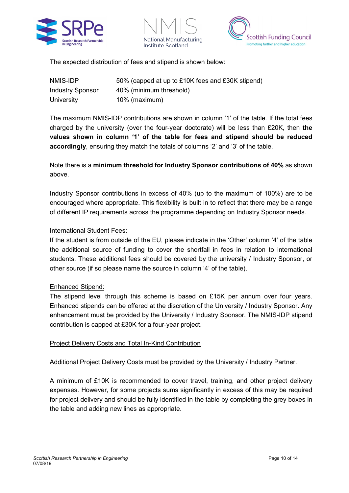





The expected distribution of fees and stipend is shown below:

| NMIS-IDP                | 50% (capped at up to £10K fees and £30K stipend) |
|-------------------------|--------------------------------------------------|
| <b>Industry Sponsor</b> | 40% (minimum threshold)                          |
| University              | 10% (maximum)                                    |

The maximum NMIS-IDP contributions are shown in column '1' of the table. If the total fees charged by the university (over the four-year doctorate) will be less than £20K, then **the values shown in column '1' of the table for fees and stipend should be reduced accordingly**, ensuring they match the totals of columns '2' and '3' of the table.

Note there is a **minimum threshold for Industry Sponsor contributions of 40%** as shown above.

Industry Sponsor contributions in excess of 40% (up to the maximum of 100%) are to be encouraged where appropriate. This flexibility is built in to reflect that there may be a range of different IP requirements across the programme depending on Industry Sponsor needs.

#### International Student Fees:

If the student is from outside of the EU, please indicate in the 'Other' column '4' of the table the additional source of funding to cover the shortfall in fees in relation to international students. These additional fees should be covered by the university / Industry Sponsor, or other source (if so please name the source in column '4' of the table).

#### Enhanced Stipend:

The stipend level through this scheme is based on £15K per annum over four years. Enhanced stipends can be offered at the discretion of the University / Industry Sponsor. Any enhancement must be provided by the University / Industry Sponsor. The NMIS-IDP stipend contribution is capped at £30K for a four-year project.

#### Project Delivery Costs and Total In-Kind Contribution

Additional Project Delivery Costs must be provided by the University / Industry Partner.

A minimum of £10K is recommended to cover travel, training, and other project delivery expenses. However, for some projects sums significantly in excess of this may be required for project delivery and should be fully identified in the table by completing the grey boxes in the table and adding new lines as appropriate.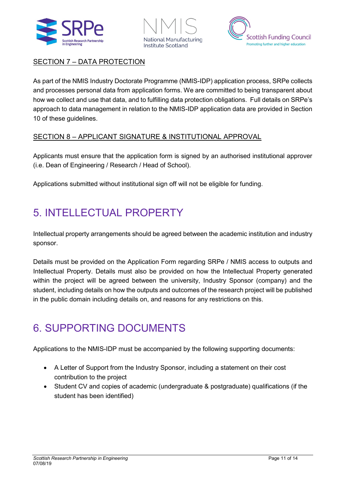





#### SECTION 7 – DATA PROTECTION

As part of the NMIS Industry Doctorate Programme (NMIS-IDP) application process, SRPe collects and processes personal data from application forms. We are committed to being transparent about how we collect and use that data, and to fulfilling data protection obligations. Full details on SRPe's approach to data management in relation to the NMIS-IDP application data are provided in Section 10 of these guidelines.

#### SECTION 8 – APPLICANT SIGNATURE & INSTITUTIONAL APPROVAL

Applicants must ensure that the application form is signed by an authorised institutional approver (i.e. Dean of Engineering / Research / Head of School).

Applications submitted without institutional sign off will not be eligible for funding.

# 5. INTELLECTUAL PROPERTY

Intellectual property arrangements should be agreed between the academic institution and industry sponsor.

Details must be provided on the Application Form regarding SRPe / NMIS access to outputs and Intellectual Property. Details must also be provided on how the Intellectual Property generated within the project will be agreed between the university, Industry Sponsor (company) and the student, including details on how the outputs and outcomes of the research project will be published in the public domain including details on, and reasons for any restrictions on this.

## 6. SUPPORTING DOCUMENTS

Applications to the NMIS-IDP must be accompanied by the following supporting documents:

- A Letter of Support from the Industry Sponsor, including a statement on their cost contribution to the project
- Student CV and copies of academic (undergraduate & postgraduate) qualifications (if the student has been identified)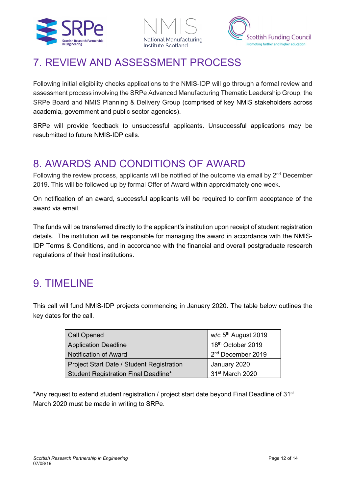





### 7. REVIEW AND ASSESSMENT PROCESS

Following initial eligibility checks applications to the NMIS-IDP will go through a formal review and assessment process involving the SRPe Advanced Manufacturing Thematic Leadership Group, the SRPe Board and NMIS Planning & Delivery Group (comprised of key NMIS stakeholders across academia, government and public sector agencies).

SRPe will provide feedback to unsuccessful applicants. Unsuccessful applications may be resubmitted to future NMIS-IDP calls.

## 8. AWARDS AND CONDITIONS OF AWARD

Following the review process, applicants will be notified of the outcome via email by 2<sup>nd</sup> December 2019. This will be followed up by formal Offer of Award within approximately one week.

On notification of an award, successful applicants will be required to confirm acceptance of the award via email.

The funds will be transferred directly to the applicant's institution upon receipt of student registration details. The institution will be responsible for managing the award in accordance with the NMIS-IDP Terms & Conditions, and in accordance with the financial and overall postgraduate research regulations of their host institutions.

## 9. TIMELINE

This call will fund NMIS-IDP projects commencing in January 2020. The table below outlines the key dates for the call.

| <b>Call Opened</b>                        | w/c 5 <sup>th</sup> August 2019 |
|-------------------------------------------|---------------------------------|
| <b>Application Deadline</b>               | 18th October 2019               |
| <b>Notification of Award</b>              | 2 <sup>nd</sup> December 2019   |
| Project Start Date / Student Registration | January 2020                    |
| Student Registration Final Deadline*      | 31 <sup>st</sup> March 2020     |

\*Any request to extend student registration / project start date beyond Final Deadline of 31<sup>st</sup> March 2020 must be made in writing to SRPe.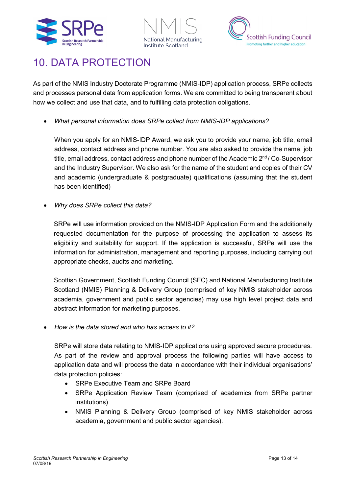





### 10. DATA PROTECTION

As part of the NMIS Industry Doctorate Programme (NMIS-IDP) application process, SRPe collects and processes personal data from application forms. We are committed to being transparent about how we collect and use that data, and to fulfilling data protection obligations.

• *What personal information does SRPe collect from NMIS-IDP applications?*

When you apply for an NMIS-IDP Award, we ask you to provide your name, job title, email address, contact address and phone number. You are also asked to provide the name, job title, email address, contact address and phone number of the Academic  $2<sup>nd</sup>$  / Co-Supervisor and the Industry Supervisor. We also ask for the name of the student and copies of their CV and academic (undergraduate & postgraduate) qualifications (assuming that the student has been identified)

• *Why does SRPe collect this data?*

SRPe will use information provided on the NMIS-IDP Application Form and the additionally requested documentation for the purpose of processing the application to assess its eligibility and suitability for support. If the application is successful, SRPe will use the information for administration, management and reporting purposes, including carrying out appropriate checks, audits and marketing.

Scottish Government, Scottish Funding Council (SFC) and National Manufacturing Institute Scotland (NMIS) Planning & Delivery Group (comprised of key NMIS stakeholder across academia, government and public sector agencies) may use high level project data and abstract information for marketing purposes.

• *How is the data stored and who has access to it?* 

SRPe will store data relating to NMIS-IDP applications using approved secure procedures. As part of the review and approval process the following parties will have access to application data and will process the data in accordance with their individual organisations' data protection policies:

- SRPe Executive Team and SRPe Board
- SRPe Application Review Team (comprised of academics from SRPe partner institutions)
- NMIS Planning & Delivery Group (comprised of key NMIS stakeholder across academia, government and public sector agencies).